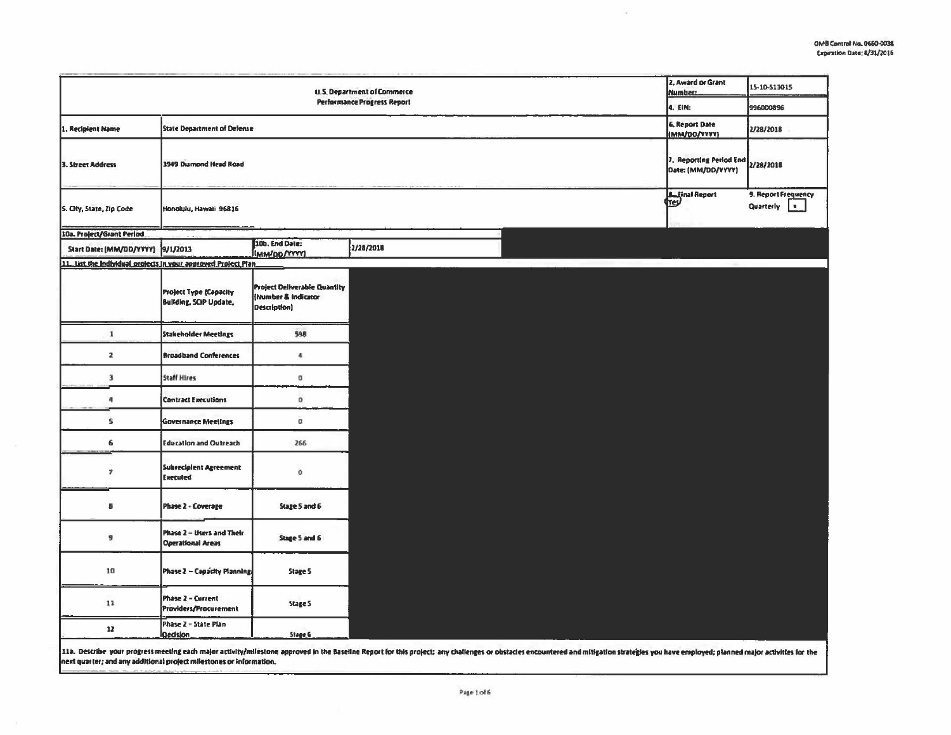$\alpha$ 

|                                                                                                                                                                                                                                                                                                       |                                                                |                                                                            | <b>U.S. Department of Commerce</b> |  |  | 2. Award or Grant<br><b>Number:</b>           | 15-10-513015                     |            |
|-------------------------------------------------------------------------------------------------------------------------------------------------------------------------------------------------------------------------------------------------------------------------------------------------------|----------------------------------------------------------------|----------------------------------------------------------------------------|------------------------------------|--|--|-----------------------------------------------|----------------------------------|------------|
|                                                                                                                                                                                                                                                                                                       |                                                                |                                                                            | <b>Performance Progress Report</b> |  |  | 4. EIN:                                       | 996000896                        |            |
| 1. Recipient Name                                                                                                                                                                                                                                                                                     | <b>State Department of Defense</b>                             |                                                                            |                                    |  |  | <b>6. Report Date</b><br>(MM/DD/YYYY)         | 2/28/2018                        |            |
| 3. Street Address                                                                                                                                                                                                                                                                                     | 3949 Diamond Head Road                                         |                                                                            |                                    |  |  | 7. Reporting Period End<br>Date: (MM/DD/YYYY) | 2/28/2018                        |            |
| 5. City, State, Zip Code                                                                                                                                                                                                                                                                              | Honolulu, Hawaii 96816                                         |                                                                            |                                    |  |  | <b>A</b> Final Report                         | 9. Report Frequency<br>Quarterly | <b>Ex.</b> |
| 10a. Project/Grant Period                                                                                                                                                                                                                                                                             |                                                                |                                                                            |                                    |  |  |                                               |                                  |            |
| Start Date: (MM/DD/YYYY)                                                                                                                                                                                                                                                                              | 9/1/2013                                                       | 10b. End Date:<br>(MM/DD/YYYY)                                             | 2/28/2018                          |  |  |                                               |                                  |            |
| 11. List the Individual projects in your approved Project Plan.                                                                                                                                                                                                                                       |                                                                |                                                                            |                                    |  |  |                                               |                                  |            |
|                                                                                                                                                                                                                                                                                                       | <b>Project Type (Capacity</b><br><b>Building, SCIP Update,</b> | <b>Project Deliverable Quantity</b><br>(Number & Indicator<br>Description) |                                    |  |  |                                               |                                  |            |
| $\mathbf 1$                                                                                                                                                                                                                                                                                           | <b>Stakeholder Meetings</b>                                    | 598                                                                        |                                    |  |  |                                               |                                  |            |
| 2                                                                                                                                                                                                                                                                                                     | <b>Broadband Conferences</b>                                   | 4                                                                          |                                    |  |  |                                               |                                  |            |
| $\frac{1}{2}$                                                                                                                                                                                                                                                                                         | <b>Staff Hires</b>                                             | a                                                                          |                                    |  |  |                                               |                                  |            |
| 4                                                                                                                                                                                                                                                                                                     | <b>Contract Executions</b>                                     | o                                                                          |                                    |  |  |                                               |                                  |            |
| 5                                                                                                                                                                                                                                                                                                     | <b>Governance Meetings</b>                                     | o                                                                          |                                    |  |  |                                               |                                  |            |
| 6                                                                                                                                                                                                                                                                                                     | <b>Education and Outreach</b>                                  | 266                                                                        |                                    |  |  |                                               |                                  |            |
| $\boldsymbol{r}$                                                                                                                                                                                                                                                                                      | Subrecipient Agreement<br>Executed                             | o                                                                          |                                    |  |  |                                               |                                  |            |
| s                                                                                                                                                                                                                                                                                                     | Phase 2 - Coverage                                             | Stage 5 and 6                                                              |                                    |  |  |                                               |                                  |            |
| 9                                                                                                                                                                                                                                                                                                     | Phase 2 - Users and Their<br><b>Operational Areas</b>          | Stage 5 and 6                                                              |                                    |  |  |                                               |                                  |            |
| 10                                                                                                                                                                                                                                                                                                    | Phase 2 - Capacity Planning                                    | Stage 5                                                                    |                                    |  |  |                                               |                                  |            |
| 11                                                                                                                                                                                                                                                                                                    | Phase 2 - Current<br>Providers/Procurement                     | Stage 5                                                                    |                                    |  |  |                                               |                                  |            |
| 12                                                                                                                                                                                                                                                                                                    | Phase 2 - State Plan<br><b>Qedslon</b>                         | Stage 6                                                                    |                                    |  |  |                                               |                                  |            |
| 11a. Describe your progress meeting each major activity/milestone approved in the Baseline Report for this project; any challenges or obstacles encountered and mitigation strategies you have employed; planned major activit<br>next quarter; and any additional project milestones or information. |                                                                |                                                                            |                                    |  |  |                                               |                                  |            |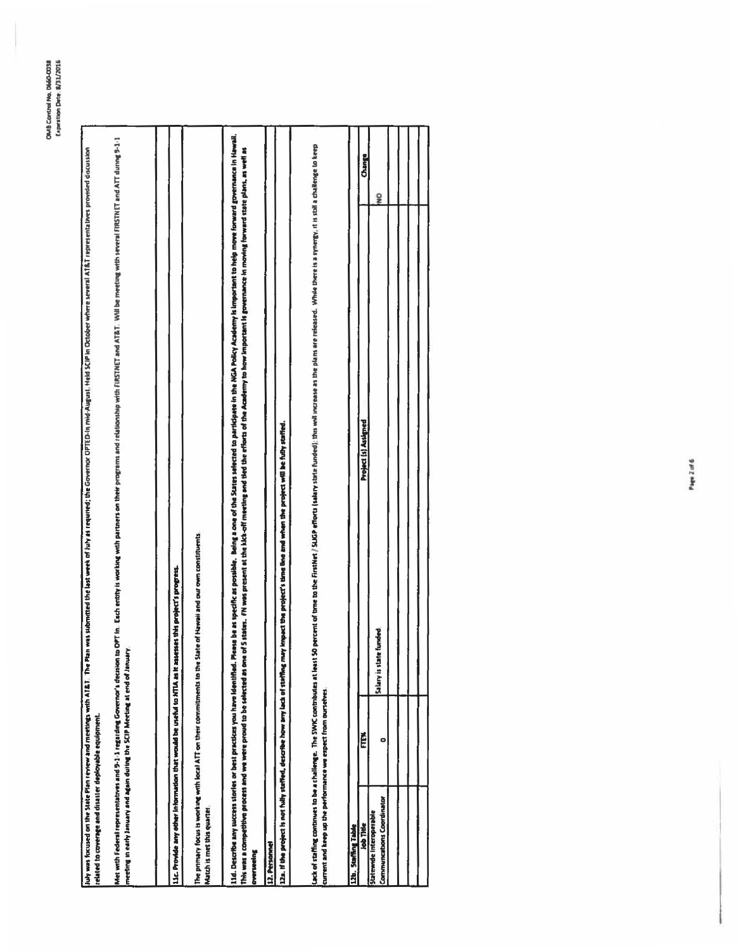| related to coverage and disaster deployable equipment.                                                                                                      |      | july was focused on the Past review and meetings with AT&T The Past was abanded the last week of lab as the covering CDFIED-in mid-August, Held SCP in October where several AT&T representatives provided discussion                                                                                                                                                                                            |        |
|-------------------------------------------------------------------------------------------------------------------------------------------------------------|------|------------------------------------------------------------------------------------------------------------------------------------------------------------------------------------------------------------------------------------------------------------------------------------------------------------------------------------------------------------------------------------------------------------------|--------|
| meeting in early January and again during the SCIP Meeting at end of January<br>Met with Federal representatives and 9-1-1 regarding Governor's decision to |      | OPT in . Each entity is working with partners on their programs and relationship with FIRSTNET and AT&T. Will be meeting with several FIRSTNET and ATT during 9-1-1                                                                                                                                                                                                                                              |        |
|                                                                                                                                                             |      | 11c. Provide any other information that would be useful to NTIA as it assesses this project's progress.                                                                                                                                                                                                                                                                                                          |        |
| Match is met this quarter                                                                                                                                   |      | The primary focus is working with local ATT on their commitments to the State of Hawaii and our own constituents.                                                                                                                                                                                                                                                                                                |        |
| <b>Overtureing</b>                                                                                                                                          |      | 114. Describe any success stories on bene beauthed. Measure as specific as postely a deng a constanted to particlease in the NGA Poicy Academy is important to help move forward governance in Hawaii.<br>This was a competitive process and we were provided to one of Stature. FN was present at the Media the forther of the Academy to how important is governance in moving forward state plant, as well as |        |
| 12. Personnel                                                                                                                                               |      |                                                                                                                                                                                                                                                                                                                                                                                                                  |        |
| 12a. If the project is not hully staffed, describe how any lack of staffing may                                                                             |      | impact the project's time line and when the project will be fully staffed.                                                                                                                                                                                                                                                                                                                                       |        |
| current and keep up the performance we expect from purselves                                                                                                |      | lack of staffing continuity the SWK contributes at least 50 percent of tree to sthe fistive (subset) the will not as a sthe plans are refeased. While the asympty, it is stallenge to keep                                                                                                                                                                                                                       |        |
| 12b. Staffing Table                                                                                                                                         |      |                                                                                                                                                                                                                                                                                                                                                                                                                  |        |
| <b>Job Title</b>                                                                                                                                            | FTEW | Project (s) Assigned                                                                                                                                                                                                                                                                                                                                                                                             | Change |
| Communcations Coordinator<br>Statewide Interoperable                                                                                                        | ۰    | g<br>unded<br>Salary is state fo                                                                                                                                                                                                                                                                                                                                                                                 |        |
|                                                                                                                                                             |      |                                                                                                                                                                                                                                                                                                                                                                                                                  |        |
|                                                                                                                                                             |      |                                                                                                                                                                                                                                                                                                                                                                                                                  |        |
|                                                                                                                                                             |      |                                                                                                                                                                                                                                                                                                                                                                                                                  |        |